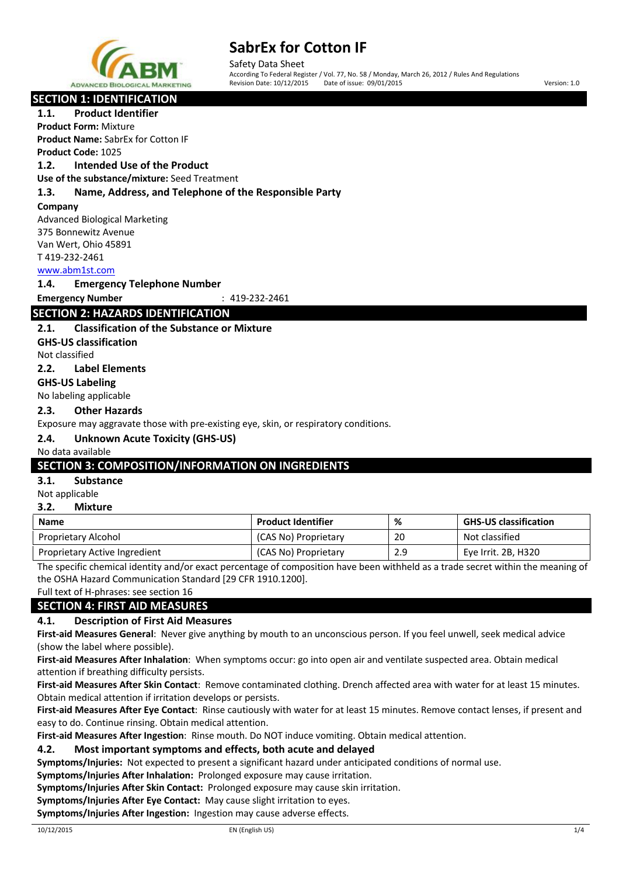

Safety Data Sheet<br>According To Federal Register / Vol. 77, No. 58 / Monday, March 26, 2012 / Rules And Regulations Revision Date: 10/12/2015 Date of issue: 09/01/2015 Version: 1.0

# **SECTION 1: IDENTIFICATION**

**1.1. Product Identifier**

**Product Form:** Mixture **Product Name:** SabrEx for Cotton IF **Product Code:** 1025

### **1.2. Intended Use of the Product**

**Use of the substance/mixture:** Seed Treatment

#### **1.3. Name, Address, and Telephone of the Responsible Party**

#### **Company**

Advanced Biological Marketing 375 Bonnewitz Avenue Van Wert, Ohio 45891 T 419-232-2461

#### www.abm1st.com

#### **1.4. Emergency Telephone Number**

**Emergency Number** : 419-232-2461

# **SECTION 2: HAZARDS IDENTIFICATION**

### **2.1. Classification of the Substance or Mixture**

**GHS-US classification**

Not classified

**2.2. Label Elements**

# **GHS-US Labeling**

No labeling applicable

#### **2.3. Other Hazards**

Exposure may aggravate those with pre-existing eye, skin, or respiratory conditions.

### **2.4. Unknown Acute Toxicity (GHS-US)**

#### No data available

### **SECTION 3: COMPOSITION/INFORMATION ON INGREDIENTS**

#### **3.1. Substance**

Not applicable

#### **3.2. Mixture**

| <b>Name</b>                   | <b>Product Identifier</b> | %   | <b>GHS-US classification</b> |
|-------------------------------|---------------------------|-----|------------------------------|
| Proprietary Alcohol           | (CAS No) Proprietary      | 20  | Not classified               |
| Proprietary Active Ingredient | (CAS No) Proprietary      | 2.9 | Eye Irrit. 2B, H320          |

The specific chemical identity and/or exact percentage of composition have been withheld as a trade secret within the meaning of the OSHA Hazard Communication Standard [29 CFR 1910.1200].

Full text of H-phrases: see section 16

### **SECTION 4: FIRST AID MEASURES**

### **4.1. Description of First Aid Measures**

**First-aid Measures General**: Never give anything by mouth to an unconscious person. If you feel unwell, seek medical advice (show the label where possible).

**First-aid Measures After Inhalation**: When symptoms occur: go into open air and ventilate suspected area. Obtain medical attention if breathing difficulty persists.

**First-aid Measures After Skin Contact**: Remove contaminated clothing. Drench affected area with water for at least 15 minutes. Obtain medical attention if irritation develops or persists.

**First-aid Measures After Eye Contact**: Rinse cautiously with water for at least 15 minutes. Remove contact lenses, if present and easy to do. Continue rinsing. Obtain medical attention.

**First-aid Measures After Ingestion**: Rinse mouth. Do NOT induce vomiting. Obtain medical attention.

### **4.2. Most important symptoms and effects, both acute and delayed**

**Symptoms/Injuries:** Not expected to present a significant hazard under anticipated conditions of normal use.

**Symptoms/Injuries After Inhalation:** Prolonged exposure may cause irritation.

**Symptoms/Injuries After Skin Contact:** Prolonged exposure may cause skin irritation.

**Symptoms/Injuries After Eye Contact:** May cause slight irritation to eyes.

**Symptoms/Injuries After Ingestion:** Ingestion may cause adverse effects.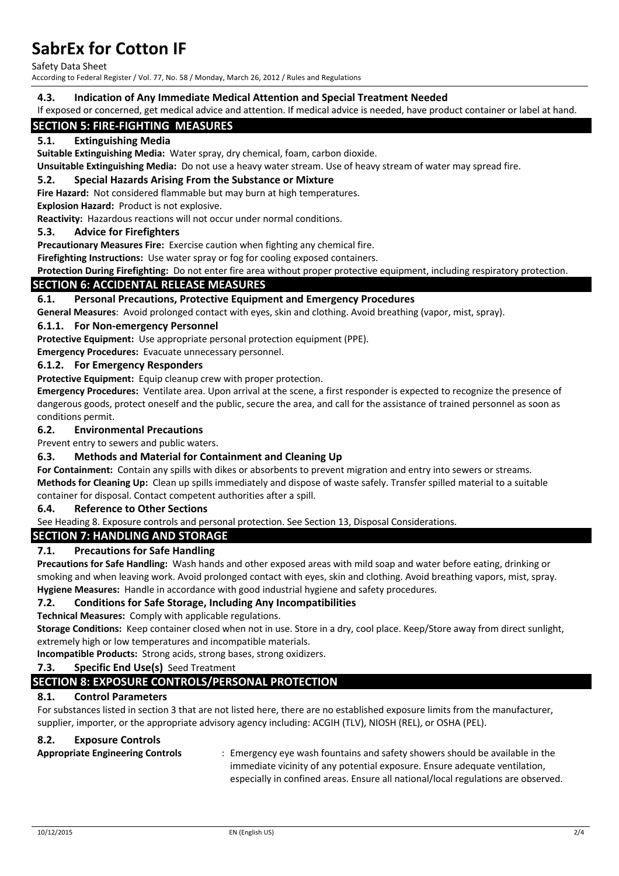Safety Data Sheet

According to Federal Register / Vol. 77, No. 58 / Monday, March 26, 2012 / Rules and Regulations

#### **4.3. Indication of Any Immediate Medical Attention and Special Treatment Needed**

If exposed or concerned, get medical advice and attention. If medical advice is needed, have product container or label at hand.

### **SECTION 5: FIRE-FIGHTING MEASURES**

#### **5.1. Extinguishing Media**

**Suitable Extinguishing Media:** Water spray, dry chemical, foam, carbon dioxide.

**Unsuitable Extinguishing Media:** Do not use a heavy water stream. Use of heavy stream of water may spread fire.

#### **5.2. Special Hazards Arising From the Substance or Mixture**

**Fire Hazard:** Not considered flammable but may burn at high temperatures.

**Explosion Hazard:** Product is not explosive.

**Reactivity:** Hazardous reactions will not occur under normal conditions.

#### **5.3. Advice for Firefighters**

**Precautionary Measures Fire:** Exercise caution when fighting any chemical fire.

**Firefighting Instructions:** Use water spray or fog for cooling exposed containers.

**Protection During Firefighting:** Do not enter fire area without proper protective equipment, including respiratory protection.

#### **SECTION 6: ACCIDENTAL RELEASE MEASURES**

#### **6.1. Personal Precautions, Protective Equipment and Emergency Procedures**

**General Measures**: Avoid prolonged contact with eyes, skin and clothing. Avoid breathing (vapor, mist, spray).

#### **6.1.1. For Non-emergency Personnel**

**Protective Equipment:** Use appropriate personal protection equipment (PPE).

**Emergency Procedures:** Evacuate unnecessary personnel.

#### **6.1.2. For Emergency Responders**

**Protective Equipment:** Equip cleanup crew with proper protection.

**Emergency Procedures:** Ventilate area. Upon arrival at the scene, a first responder is expected to recognize the presence of dangerous goods, protect oneself and the public, secure the area, and call for the assistance of trained personnel as soon as conditions permit.

#### **6.2. Environmental Precautions**

Prevent entry to sewers and public waters.

#### **6.3. Methods and Material for Containment and Cleaning Up**

**For Containment:** Contain any spills with dikes or absorbents to prevent migration and entry into sewers or streams. **Methods for Cleaning Up:** Clean up spills immediately and dispose of waste safely. Transfer spilled material to a suitable container for disposal. Contact competent authorities after a spill.

**6.4. Reference to Other Sections**

See Heading 8. Exposure controls and personal protection. See Section 13, Disposal Considerations.

#### **SECTION 7: HANDLING AND STORAGE**

#### **7.1. Precautions for Safe Handling**

**Precautions for Safe Handling:** Wash hands and other exposed areas with mild soap and water before eating, drinking or smoking and when leaving work. Avoid prolonged contact with eyes, skin and clothing. Avoid breathing vapors, mist, spray. **Hygiene Measures:** Handle in accordance with good industrial hygiene and safety procedures.

#### **7.2. Conditions for Safe Storage, Including Any Incompatibilities**

**Technical Measures:** Comply with applicable regulations.

**Storage Conditions:** Keep container closed when not in use. Store in a dry, cool place. Keep/Store away from direct sunlight, extremely high or low temperatures and incompatible materials.

**Incompatible Products:** Strong acids, strong bases, strong oxidizers.

# **7.3. Specific End Use(s)** Seed Treatment

# **SECTION 8: EXPOSURE CONTROLS/PERSONAL PROTECTION**

# **8.1. Control Parameters**

For substances listed in section 3 that are not listed here, there are no established exposure limits from the manufacturer, supplier, importer, or the appropriate advisory agency including: ACGIH (TLV), NIOSH (REL), or OSHA (PEL).

# **8.2. Exposure Controls**

**Appropriate Engineering Controls** : Emergency eye wash fountains and safety showers should be available in the immediate vicinity of any potential exposure. Ensure adequate ventilation, especially in confined areas. Ensure all national/local regulations are observed.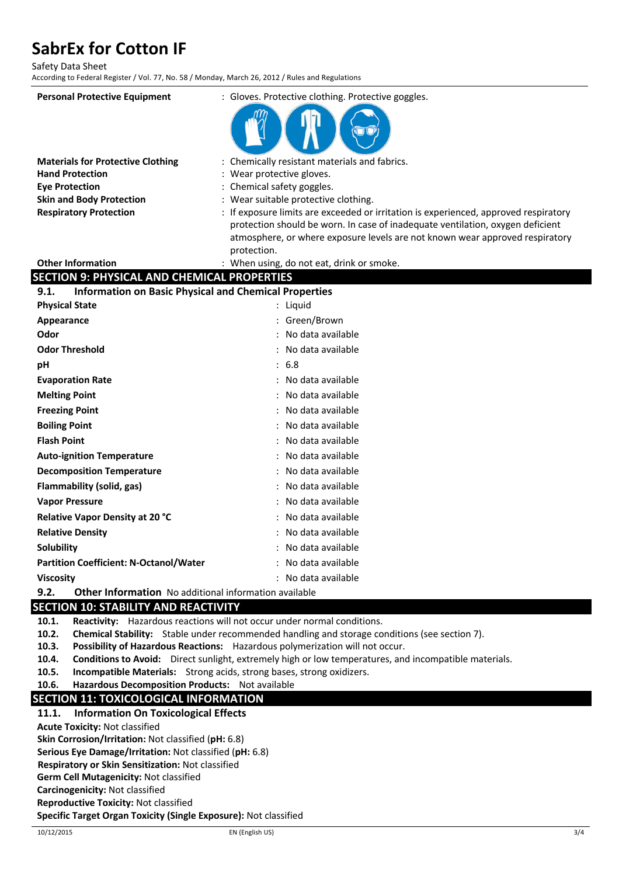Safety Data Sheet

According to Federal Register / Vol. 77, No. 58 / Monday, March 26, 2012 / Rules and Regulations

| <b>Personal Protective Equipment</b>                                 | : Gloves. Protective clothing. Protective goggles.                                                                                                                     |  |
|----------------------------------------------------------------------|------------------------------------------------------------------------------------------------------------------------------------------------------------------------|--|
|                                                                      |                                                                                                                                                                        |  |
| <b>Materials for Protective Clothing</b>                             | : Chemically resistant materials and fabrics.                                                                                                                          |  |
| <b>Hand Protection</b>                                               | Wear protective gloves.                                                                                                                                                |  |
| <b>Eye Protection</b>                                                | : Chemical safety goggles.                                                                                                                                             |  |
| <b>Skin and Body Protection</b>                                      | : Wear suitable protective clothing.                                                                                                                                   |  |
| <b>Respiratory Protection</b>                                        | : If exposure limits are exceeded or irritation is experienced, approved respiratory<br>protection should be worn. In case of inadequate ventilation, oxygen deficient |  |
|                                                                      | atmosphere, or where exposure levels are not known wear approved respiratory                                                                                           |  |
|                                                                      | protection.                                                                                                                                                            |  |
| <b>Other Information</b>                                             | : When using, do not eat, drink or smoke.                                                                                                                              |  |
| <b>SECTION 9: PHYSICAL AND CHEMICAL PROPERTIES</b>                   |                                                                                                                                                                        |  |
| <b>Information on Basic Physical and Chemical Properties</b><br>9.1. |                                                                                                                                                                        |  |
| <b>Physical State</b>                                                | : Liquid                                                                                                                                                               |  |
| Appearance                                                           | : Green/Brown                                                                                                                                                          |  |
| Odor                                                                 | No data available                                                                                                                                                      |  |
| <b>Odor Threshold</b>                                                | No data available                                                                                                                                                      |  |
| рH                                                                   | 6.8<br>$\ddot{\phantom{a}}$                                                                                                                                            |  |
| <b>Evaporation Rate</b>                                              | No data available                                                                                                                                                      |  |
| <b>Melting Point</b>                                                 | No data available                                                                                                                                                      |  |
| <b>Freezing Point</b>                                                | No data available                                                                                                                                                      |  |
| <b>Boiling Point</b>                                                 | No data available                                                                                                                                                      |  |
| <b>Flash Point</b>                                                   | No data available                                                                                                                                                      |  |
| <b>Auto-ignition Temperature</b>                                     | No data available                                                                                                                                                      |  |
| <b>Decomposition Temperature</b>                                     | No data available                                                                                                                                                      |  |
| Flammability (solid, gas)                                            | No data available                                                                                                                                                      |  |
| <b>Vapor Pressure</b>                                                | No data available                                                                                                                                                      |  |
| Relative Vapor Density at 20 °C                                      | No data available                                                                                                                                                      |  |
| <b>Relative Density</b>                                              | No data available                                                                                                                                                      |  |
| Solubility                                                           | No data available                                                                                                                                                      |  |
| <b>Partition Coefficient: N-Octanol/Water</b>                        | No data available                                                                                                                                                      |  |
| <b>Viscosity</b>                                                     | No data available                                                                                                                                                      |  |
| 9.2.<br><b>Other Information</b> No additional information available |                                                                                                                                                                        |  |

# **SECTION 10: STABILITY AND REACTIVITY**

**10.1. Reactivity:** Hazardous reactions will not occur under normal conditions.

**10.2. Chemical Stability:** Stable under recommended handling and storage conditions (see section 7).

- **10.3. Possibility of Hazardous Reactions:** Hazardous polymerization will not occur.
- **10.4. Conditions to Avoid:** Direct sunlight, extremely high or low temperatures, and incompatible materials.
- **10.5. Incompatible Materials:** Strong acids, strong bases, strong oxidizers.

#### **10.6. Hazardous Decomposition Products:** Not available

# **SECTION 11: TOXICOLOGICAL INFORMATION**

### **11.1. Information On Toxicological Effects**

**Acute Toxicity:** Not classified

**Skin Corrosion/Irritation:** Not classified (**pH:** 6.8)

**Serious Eye Damage/Irritation:** Not classified (**pH:** 6.8)

**Respiratory or Skin Sensitization:** Not classified

**Germ Cell Mutagenicity:** Not classified

**Carcinogenicity:** Not classified

**Reproductive Toxicity:** Not classified

**Specific Target Organ Toxicity (Single Exposure):** Not classified